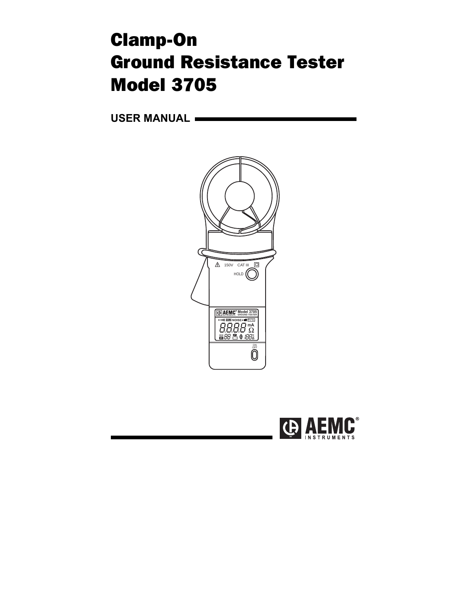# Clamp-On Ground Resistance Tester Model 3705

**USER MANUAL** 



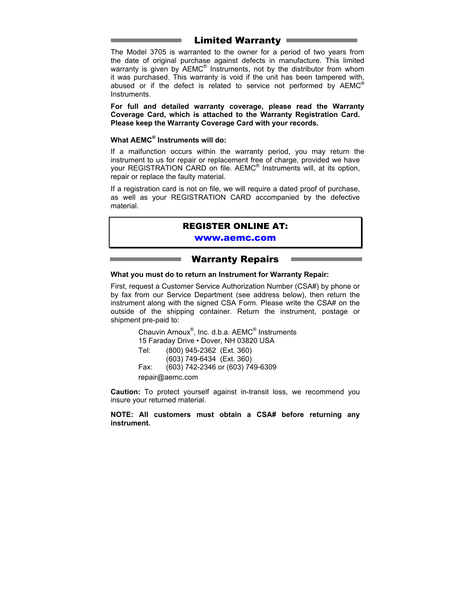### Limited Warranty

The Model 3705 is warranted to the owner for a period of two years from the date of original purchase against defects in manufacture. This limited warranty is given by AEMC® Instruments, not by the distributor from whom it was purchased. This warranty is void if the unit has been tampered with, abused or if the defect is related to service not performed by  $AEMC<sup>®</sup>$ Instruments.

**For full and detailed warranty coverage, please read the Warranty Coverage Card, which is attached to the Warranty Registration Card. Please keep the Warranty Coverage Card with your records.** 

#### **What AEMC® Instruments will do:**

If a malfunction occurs within the warranty period, you may return the instrument to us for repair or replacement free of charge, provided we have your REGISTRATION CARD on file. AEMC<sup>®</sup> Instruments will, at its option, repair or replace the faulty material.

If a registration card is not on file, we will require a dated proof of purchase, as well as your REGISTRATION CARD accompanied by the defective material.

#### REGISTER ONLINE AT:

#### [www.aemc.com](http://www.aemc.com)

#### Warranty Repairs

#### **What you must do to return an Instrument for Warranty Repair:**

First, request a Customer Service Authorization Number (CSA#) by phone or by fax from our Service Department (see address below), then return the instrument along with the signed CSA Form. Please write the CSA# on the outside of the shipping container. Return the instrument, postage or shipment pre-paid to:

Chauvin Arnoux<sup>®</sup>, Inc. d.b.a. AEMC<sup>®</sup> Instruments 15 Faraday Drive • Dover, NH 03820 USA Tel: (800) 945-2362 (Ext. 360) (603) 749-6434 (Ext. 360) Fax: (603) 742-2346 or (603) 749-6309 repair@aemc.com

**Caution:** To protect yourself against in-transit loss, we recommend you insure your returned material.

**NOTE: All customers must obtain a CSA# before returning any instrument.**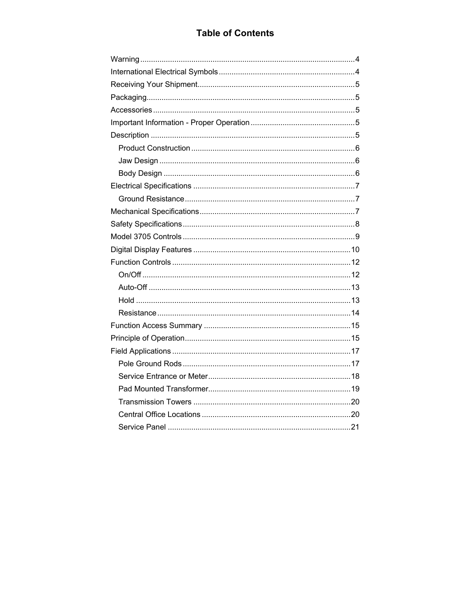### **Table of Contents**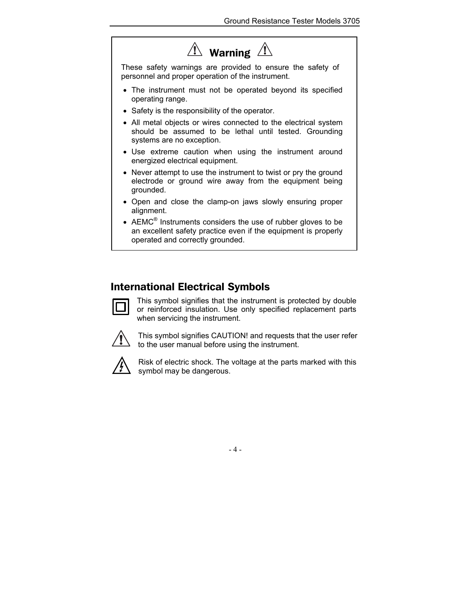## $\overline{\mathbb{T}}$  Warning  $\overline{\mathbb{T}}$

<span id="page-4-0"></span>These safety warnings are provided to ensure the safety of personnel and proper operation of the instrument.

- The instrument must not be operated beyond its specified operating range.
- Safety is the responsibility of the operator.
- All metal objects or wires connected to the electrical system should be assumed to be lethal until tested. Grounding systems are no exception.
- Use extreme caution when using the instrument around energized electrical equipment.
- Never attempt to use the instrument to twist or pry the ground electrode or ground wire away from the equipment being grounded.
- Open and close the clamp-on jaws slowly ensuring proper alignment.
- AEMC $^{\circ}$  Instruments considers the use of rubber gloves to be an excellent safety practice even if the equipment is properly operated and correctly grounded.

### International Electrical Symbols



This symbol signifies that the instrument is protected by double or reinforced insulation. Use only specified replacement parts when servicing the instrument.



This symbol signifies CAUTION! and requests that the user refer to the user manual before using the instrument.



Risk of electric shock. The voltage at the parts marked with this symbol may be dangerous.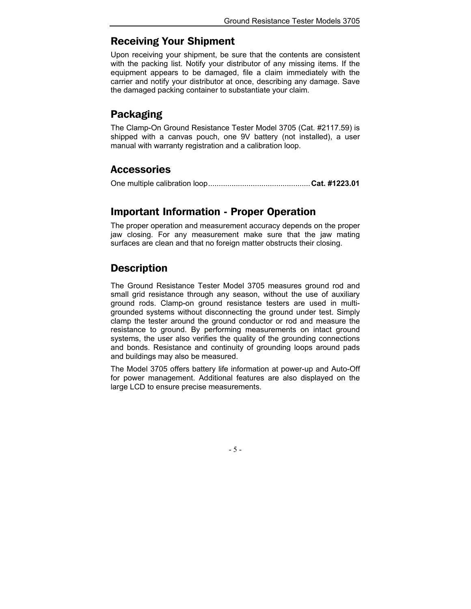### <span id="page-5-0"></span>Receiving Your Shipment

Upon receiving your shipment, be sure that the contents are consistent with the packing list. Notify your distributor of any missing items. If the equipment appears to be damaged, file a claim immediately with the carrier and notify your distributor at once, describing any damage. Save the damaged packing container to substantiate your claim.

### Packaging

The Clamp-On Ground Resistance Tester Model 3705 (Cat. #2117.59) is shipped with a canvas pouch, one 9V battery (not installed), a user manual with warranty registration and a calibration loop.

### **Accessories**

One multiple calibration loop................................................**Cat. #1223.01** 

### Important Information - Proper Operation

The proper operation and measurement accuracy depends on the proper jaw closing. For any measurement make sure that the jaw mating surfaces are clean and that no foreign matter obstructs their closing.

### **Description**

The Ground Resistance Tester Model 3705 measures ground rod and small grid resistance through any season, without the use of auxiliary ground rods. Clamp-on ground resistance testers are used in multigrounded systems without disconnecting the ground under test. Simply clamp the tester around the ground conductor or rod and measure the resistance to ground. By performing measurements on intact ground systems, the user also verifies the quality of the grounding connections and bonds. Resistance and continuity of grounding loops around pads and buildings may also be measured.

The Model 3705 offers battery life information at power-up and Auto-Off for power management. Additional features are also displayed on the large LCD to ensure precise measurements.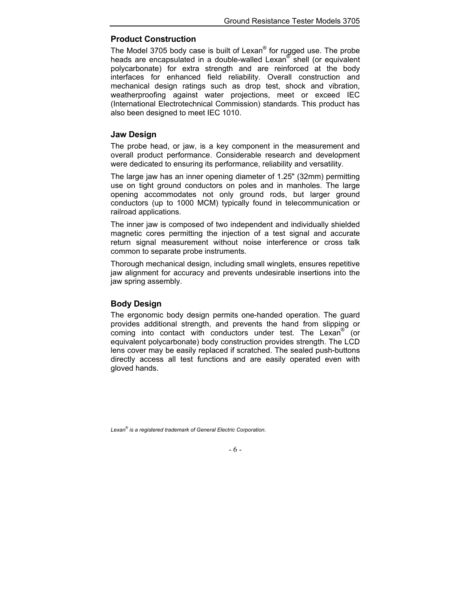#### <span id="page-6-0"></span>**Product Construction**

The Model 3705 body case is built of Lexan® for rugged use. The probe heads are encapsulated in a double-walled Lexan® shell (or equivalent polycarbonate) for extra strength and are reinforced at the body interfaces for enhanced field reliability. Overall construction and mechanical design ratings such as drop test, shock and vibration, weatherproofing against water projections, meet or exceed IEC (International Electrotechnical Commission) standards. This product has also been designed to meet IEC 1010.

#### **Jaw Design**

The probe head, or jaw, is a key component in the measurement and overall product performance. Considerable research and development were dedicated to ensuring its performance, reliability and versatility.

The large jaw has an inner opening diameter of 1.25" (32mm) permitting use on tight ground conductors on poles and in manholes. The large opening accommodates not only ground rods, but larger ground conductors (up to 1000 MCM) typically found in telecommunication or railroad applications.

The inner jaw is composed of two independent and individually shielded magnetic cores permitting the injection of a test signal and accurate return signal measurement without noise interference or cross talk common to separate probe instruments.

Thorough mechanical design, including small winglets, ensures repetitive jaw alignment for accuracy and prevents undesirable insertions into the jaw spring assembly.

#### **Body Design**

The ergonomic body design permits one-handed operation. The guard provides additional strength, and prevents the hand from slipping or coming into contact with conductors under test. The Lexan® (or equivalent polycarbonate) body construction provides strength. The LCD lens cover may be easily replaced if scratched. The sealed push-buttons directly access all test functions and are easily operated even with gloved hands.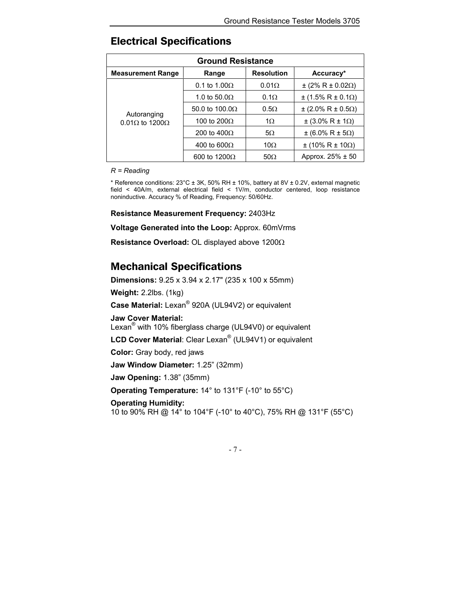| <b>Ground Resistance</b>                     |                       |                   |                                    |
|----------------------------------------------|-----------------------|-------------------|------------------------------------|
| <b>Measurement Range</b>                     | Range                 | <b>Resolution</b> | Accuracy*                          |
| Autoranging<br>$0.01\Omega$ to 1200 $\Omega$ | 0.1 to $1.00\Omega$   | 0.01Q             | $±$ (2% R ± 0.02Ω)                 |
|                                              | 1.0 to 50.0 $\Omega$  | $0.1\Omega$       | $\pm$ (1.5% R $\pm$ 0.1 $\Omega$ ) |
|                                              | 50.0 to $100.0\Omega$ | $0.5\Omega$       | $\pm$ (2.0% R $\pm$ 0.5 $\Omega$ ) |
|                                              | 100 to $200\Omega$    | 1 <sub>O</sub>    | $\pm$ (3.0% R $\pm$ 1 $\Omega$ )   |
|                                              | 200 to $400\Omega$    | $5\Omega$         | $±$ (6.0% R ± 5Ω)                  |
|                                              | 400 to 600 $\Omega$   | 10 $\Omega$       | $±$ (10% R ± 10Ω)                  |
|                                              | 600 to 1200 $\Omega$  | $50\Omega$        | Approx. $25\% \pm 50$              |

### <span id="page-7-0"></span>Electrical Specifications

#### *R = Reading*

\* Reference conditions:  $23^{\circ}$ C ± 3K, 50% RH ± 10%, battery at 8V ± 0.2V, external magnetic field < 40A/m, external electrical field < 1V/m, conductor centered, loop resistance noninductive. Accuracy % of Reading, Frequency: 50/60Hz.

#### **Resistance Measurement Frequency:** 2403Hz

**Voltage Generated into the Loop:** Approx. 60mVrms

**Resistance Overload:** OL displayed above 1200Ω

### Mechanical Specifications

**Dimensions:** 9.25 x 3.94 x 2.17" (235 x 100 x 55mm) **Weight:** 2.2lbs. (1kg) **Case Material:** Lexan® 920A (UL94V2) or equivalent **Jaw Cover Material:**  Lexan<sup>®</sup> with 10% fiberglass charge (UL94V0) or equivalent **LCD Cover Material**: Clear Lexan® (UL94V1) or equivalent **Color:** Gray body, red jaws **Jaw Window Diameter:** 1.25" (32mm) **Jaw Opening:** 1.38" (35mm) **Operating Temperature:** 14° to 131°F (-10° to 55°C) **Operating Humidity:**

10 to 90% RH @ 14° to 104°F (-10° to 40°C), 75% RH @ 131°F (55°C)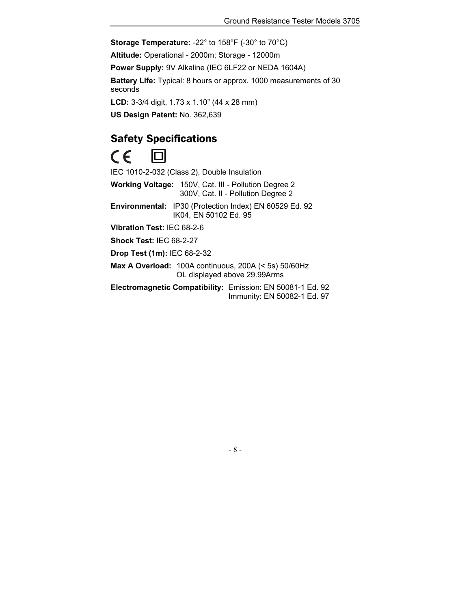<span id="page-8-0"></span>**Storage Temperature:** -22° to 158°F (-30° to 70°C)

**Altitude:** Operational - 2000m; Storage - 12000m

**Power Supply:** 9V Alkaline (IEC 6LF22 or NEDA 1604A)

**Battery Life:** Typical: 8 hours or approx. 1000 measurements of 30 seconds

**LCD:** 3-3/4 digit, 1.73 x 1.10" (44 x 28 mm)

**US Design Patent:** No. 362,639

### Safety Specifications

 $\epsilon$ 

IEC 1010-2-032 (Class 2), Double Insulation

**Working Voltage:** 150V, Cat. III - Pollution Degree 2 300V, Cat. II - Pollution Degree 2

**Environmental:** IP30 (Protection Index) EN 60529 Ed. 92 IK04, EN 50102 Ed. 95

**Vibration Test:** IEC 68-2-6

**Shock Test:** IEC 68-2-27

**Drop Test (1m):** IEC 68-2-32

**Max A Overload:** 100A continuous, 200A (< 5s) 50/60Hz OL displayed above 29.99Arms

**Electromagnetic Compatibility:** Emission: EN 50081-1 Ed. 92 Immunity: EN 50082-1 Ed. 97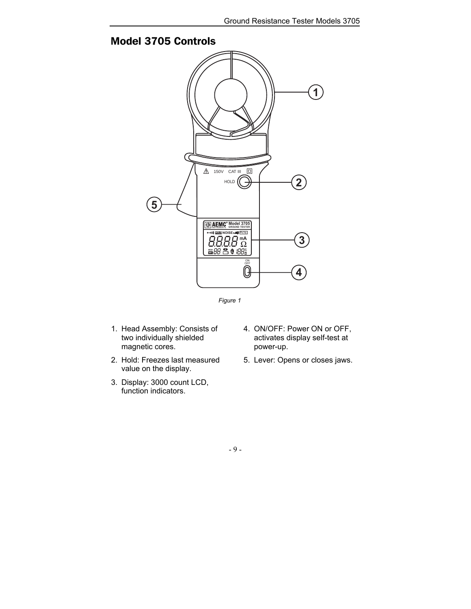

### <span id="page-9-0"></span>Model 3705 Controls



- 1. Head Assembly: Consists of two individually shielded magnetic cores.
- 2. Hold: Freezes last measured value on the display.
- 3. Display: 3000 count LCD, function indicators.
- 4. ON/OFF: Power ON or OFF, activates display self-test at power-up.
- 5. Lever: Opens or closes jaws.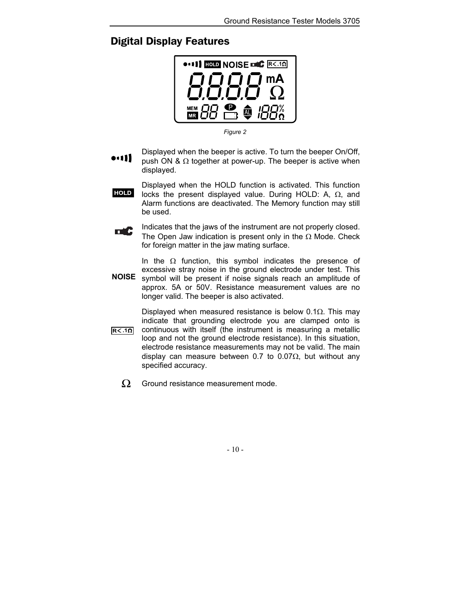### <span id="page-10-0"></span>Digital Display Features



*Figure 2* 

- Displayed when the beeper is active. To turn the beeper On/Off, •111 push ON &  $\Omega$  together at power-up. The beeper is active when displayed.
	- Displayed when the HOLD function is activated. This function locks the present displayed value. During HOLD: A, Ω, and Alarm functions are deactivated. The Memory function may still be used. **HOLD**
- Indicates that the jaws of the instrument are not properly closed. пĆ The Open Jaw indication is present only in the  $\Omega$  Mode. Check for foreign matter in the jaw mating surface.

In the  $\Omega$  function, this symbol indicates the presence of excessive stray noise in the ground electrode under test. This symbol will be present if noise signals reach an amplitude of approx. 5A or 50V. Resistance measurement values are no longer valid. The beeper is also activated. **NOISE** 

- Displayed when measured resistance is below 0.1 $\Omega$ . This may indicate that grounding electrode you are clamped onto is continuous with itself (the instrument is measuring a metallic loop and not the ground electrode resistance). In this situation, electrode resistance measurements may not be valid. The main display can measure between 0.7 to 0.07 $\Omega$ , but without any specified accuracy.  $R < .10$ 
	- $\Omega$ Ground resistance measurement mode.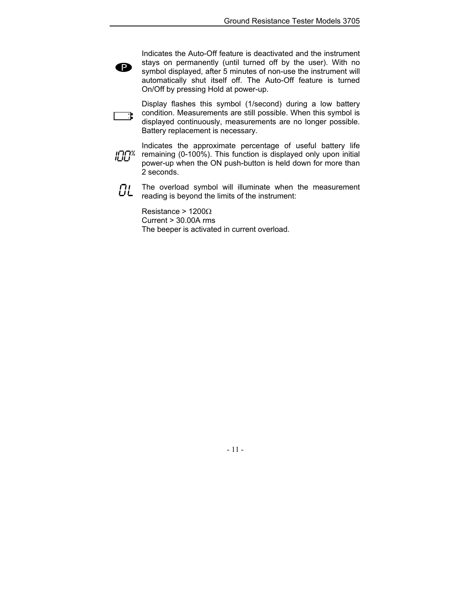Indicates the Auto-Off feature is deactivated and the instrument stays on permanently (until turned off by the user). With no symbol displayed, after 5 minutes of non-use the instrument will automatically shut itself off. The Auto-Off feature is turned On/Off by pressing Hold at power-up.

Display flashes this symbol (1/second) during a low battery condition. Measurements are still possible. When this symbol is <del>고</del>. displayed continuously, measurements are no longer possible. Battery replacement is necessary.

- Indicates the approximate percentage of useful battery life יתוחו<sub>.</sub><br>יירוש remaining (0-100%). This function is displayed only upon initial power-up when the ON push-button is held down for more than 2 seconds.
	- **OL** The overload symbol will illuminate when the measurement reading is beyond the limits of the instrument:

Resistance > 1200Ω  $Current > 30.00A$  rms The beeper is activated in current overload.

P)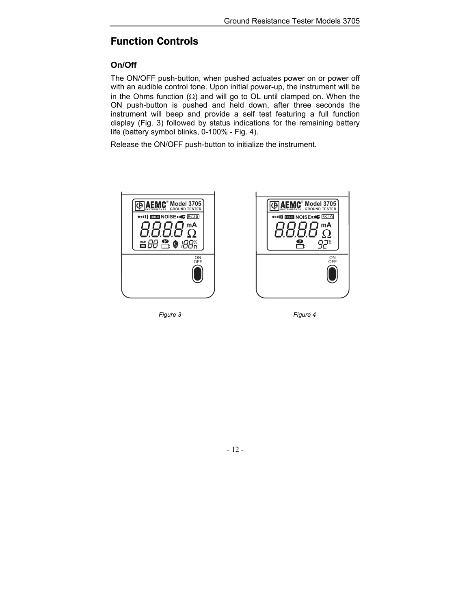### <span id="page-12-0"></span>Function Controls

### **On/Off**

The ON/OFF push-button, when pushed actuates power on or power off with an audible control tone. Upon initial power-up, the instrument will be in the Ohms function  $(Ω)$  and will go to OL until clamped on. When the ON push-button is pushed and held down, after three seconds the instrument will beep and provide a self test featuring a full function display (Fig. 3) followed by status indications for the remaining battery life (battery symbol blinks, 0-100% - Fig. 4).

Release the ON/OFF push-button to initialize the instrument.





*Figure 3 Figure 4*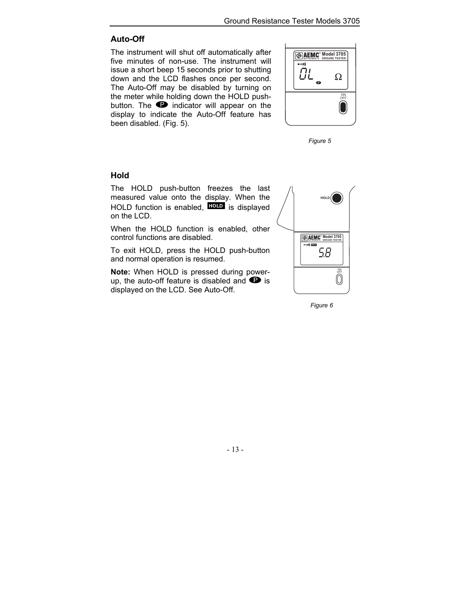### <span id="page-13-0"></span>**Auto-Off**

The instrument will shut off automatically after five minutes of non-use. The instrument will issue a short beep 15 seconds prior to shutting down and the LCD flashes once per second. The Auto-Off may be disabled by turning on the meter while holding down the HOLD pushbutton. The  $\bullet$  indicator will appear on the display to indicate the Auto-Off feature has been disabled. (Fig. 5).



*Figure 5* 

### **Hold**

The HOLD push-button freezes the last measured value onto the display. When the HOLD function is enabled, **HOLD** is displayed on the LCD.

When the HOLD function is enabled, other control functions are disabled.

To exit HOLD, press the HOLD push-button and normal operation is resumed.

**Note:** When HOLD is pressed during powerup, the auto-off feature is disabled and  $\bullet$  is displayed on the LCD. See Auto-Off.



*Figure 6*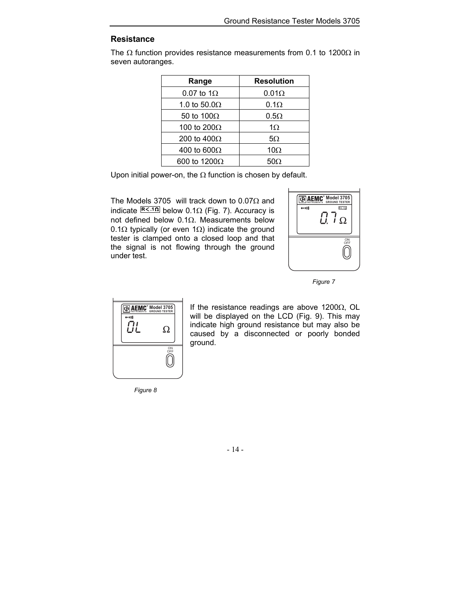### <span id="page-14-0"></span>**Resistance**

The  $\Omega$  function provides resistance measurements from 0.1 to 1200 $\Omega$  in seven autoranges.

| Range                | <b>Resolution</b> |
|----------------------|-------------------|
| 0.07 to $1\Omega$    | $0.01\Omega$      |
| 1.0 to 50.0 $\Omega$ | $0.1\Omega$       |
| 50 to 100 $\Omega$   | $0.5\Omega$       |
| 100 to 200 $\Omega$  | 1 $\Omega$        |
| 200 to $400\Omega$   | $5\Omega$         |
| 400 to 600 $\Omega$  | $10\Omega$        |
| 600 to 1200 $\Omega$ | 50Ω               |

Upon initial power-on, the  $\Omega$  function is chosen by default.

The Models 3705 will track down to 0.07Ω and indicate  $R < 10$  below 0.1Ω (Fig. 7). Accuracy is not defined below 0.1Ω. Measurements below 0.1Ω typically (or even 1Ω) indicate the ground tester is clamped onto a closed loop and that the signal is not flowing through the ground under test.



*Figure 7* 



If the resistance readings are above 1200 $\Omega$ , OL will be displayed on the LCD (Fig. 9). This may indicate high ground resistance but may also be caused by a disconnected or poorly bonded ground.

*Figure 8*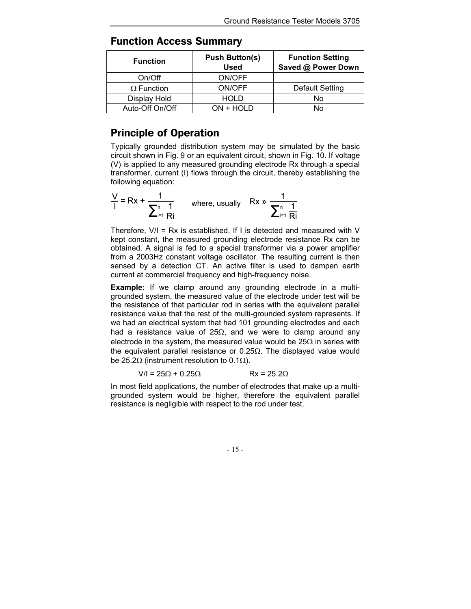| <b>Function</b>   | <b>Push Button(s)</b><br><b>Used</b> | <b>Function Setting</b><br>Saved @ Power Down |
|-------------------|--------------------------------------|-----------------------------------------------|
| On/Off            | ON/OFF                               |                                               |
| $\Omega$ Function | ON/OFF                               | Default Setting                               |
| Display Hold      | <b>HOLD</b>                          | No                                            |
| Auto-Off On/Off   | ON + HOLD                            | N٥                                            |

### <span id="page-15-0"></span>Function Access Summary

### Principle of Operation

Typically grounded distribution system may be simulated by the basic circuit shown in Fig. 9 or an equivalent circuit, shown in Fig. 10. If voltage (V) is applied to any measured grounding electrode Rx through a special transformer, current (I) flows through the circuit, thereby establishing the following equation:

$$
\frac{V}{I} = Rx + \frac{1}{\sum_{i=1}^{n} \frac{1}{Ri}}
$$
 where, usually  $Rx \gg \frac{1}{\sum_{i=1}^{n} \frac{1}{Ri}}$ 

Therefore,  $V/I = Rx$  is established. If I is detected and measured with V kept constant, the measured grounding electrode resistance Rx can be obtained. A signal is fed to a special transformer via a power amplifier from a 2003Hz constant voltage oscillator. The resulting current is then sensed by a detection CT. An active filter is used to dampen earth current at commercial frequency and high-frequency noise.

**Example:** If we clamp around any grounding electrode in a multigrounded system, the measured value of the electrode under test will be the resistance of that particular rod in series with the equivalent parallel resistance value that the rest of the multi-grounded system represents. If we had an electrical system that had 101 grounding electrodes and each had a resistance value of 25 $\Omega$ , and we were to clamp around any electrode in the system, the measured value would be  $25\Omega$  in series with the equivalent parallel resistance or 0.25 $\Omega$ . The displayed value would be 25.2 $\Omega$  (instrument resolution to 0.1 $\Omega$ ).

$$
V/I = 25\Omega + 0.25\Omega
$$
 Rx = 25.2 $\Omega$ 

In most field applications, the number of electrodes that make up a multigrounded system would be higher, therefore the equivalent parallel resistance is negligible with respect to the rod under test.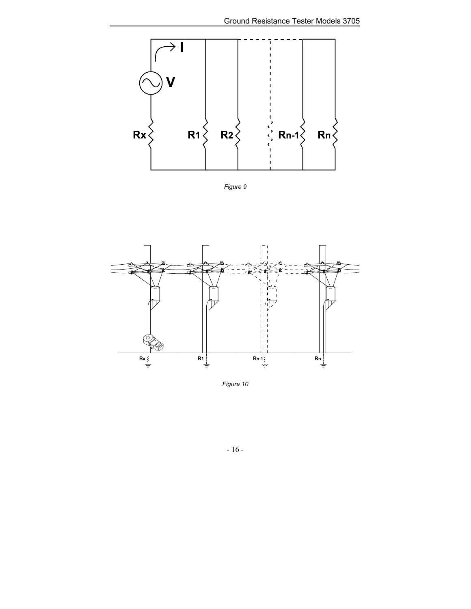

*Figure 9* 



*Figure 10*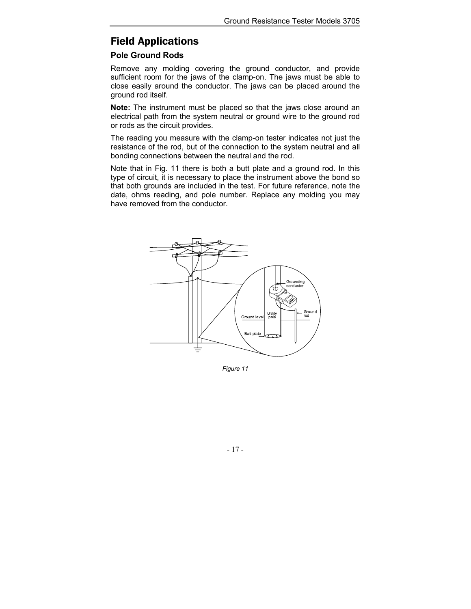### <span id="page-17-0"></span>Field Applications

#### **Pole Ground Rods**

Remove any molding covering the ground conductor, and provide sufficient room for the jaws of the clamp-on. The jaws must be able to close easily around the conductor. The jaws can be placed around the ground rod itself.

**Note:** The instrument must be placed so that the jaws close around an electrical path from the system neutral or ground wire to the ground rod or rods as the circuit provides.

The reading you measure with the clamp-on tester indicates not just the resistance of the rod, but of the connection to the system neutral and all bonding connections between the neutral and the rod.

Note that in Fig. 11 there is both a butt plate and a ground rod. In this type of circuit, it is necessary to place the instrument above the bond so that both grounds are included in the test. For future reference, note the date, ohms reading, and pole number. Replace any molding you may have removed from the conductor.



*Figure 11*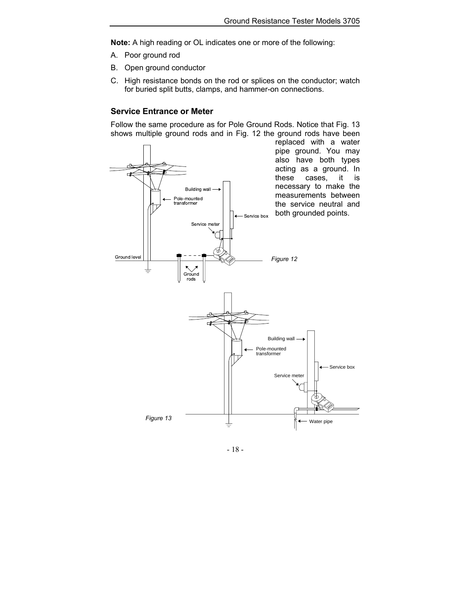<span id="page-18-0"></span>**Note:** A high reading or OL indicates one or more of the following:

- A. Poor ground rod
- B. Open ground conductor
- C. High resistance bonds on the rod or splices on the conductor; watch for buried split butts, clamps, and hammer-on connections.

#### **Service Entrance or Meter**

Follow the same procedure as for Pole Ground Rods. Notice that Fig. 13 shows multiple ground rods and in Fig. 12 the ground rods have been

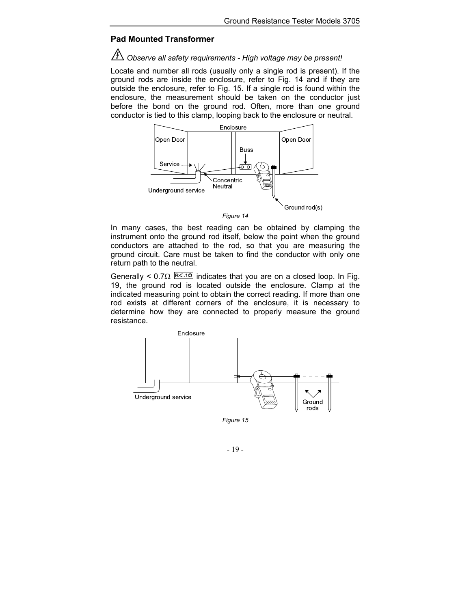#### <span id="page-19-0"></span>**Pad Mounted Transformer**

#### *Observe all safety requirements - High voltage may be present!*

Locate and number all rods (usually only a single rod is present). If the ground rods are inside the enclosure, refer to Fig. 14 and if they are outside the enclosure, refer to Fig. 15. If a single rod is found within the enclosure, the measurement should be taken on the conductor just before the bond on the ground rod. Often, more than one ground conductor is tied to this clamp, looping back to the enclosure or neutral.



*Figure 14* 

In many cases, the best reading can be obtained by clamping the instrument onto the ground rod itself, below the point when the ground conductors are attached to the rod, so that you are measuring the ground circuit. Care must be taken to find the conductor with only one return path to the neutral.

Generally < 0.7 $\Omega$  R<sup>z.10</sup> indicates that you are on a closed loop. In Fig. 19, the ground rod is located outside the enclosure. Clamp at the indicated measuring point to obtain the correct reading. If more than one rod exists at different corners of the enclosure, it is necessary to determine how they are connected to properly measure the ground resistance.



*Figure 15*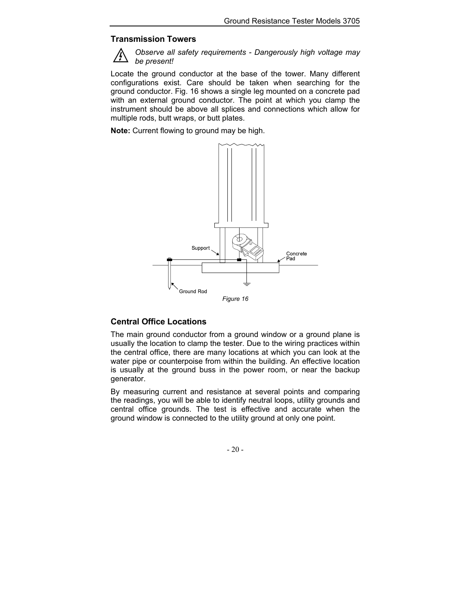#### <span id="page-20-0"></span>**Transmission Towers**



*Observe all safety requirements - Dangerously high voltage may be present!* 

Locate the ground conductor at the base of the tower. Many different configurations exist. Care should be taken when searching for the ground conductor. Fig. 16 shows a single leg mounted on a concrete pad with an external ground conductor. The point at which you clamp the instrument should be above all splices and connections which allow for multiple rods, butt wraps, or butt plates.

**Note:** Current flowing to ground may be high.



### **Central Office Locations**

The main ground conductor from a ground window or a ground plane is usually the location to clamp the tester. Due to the wiring practices within the central office, there are many locations at which you can look at the water pipe or counterpoise from within the building. An effective location is usually at the ground buss in the power room, or near the backup generator.

By measuring current and resistance at several points and comparing the readings, you will be able to identify neutral loops, utility grounds and central office grounds. The test is effective and accurate when the ground window is connected to the utility ground at only one point.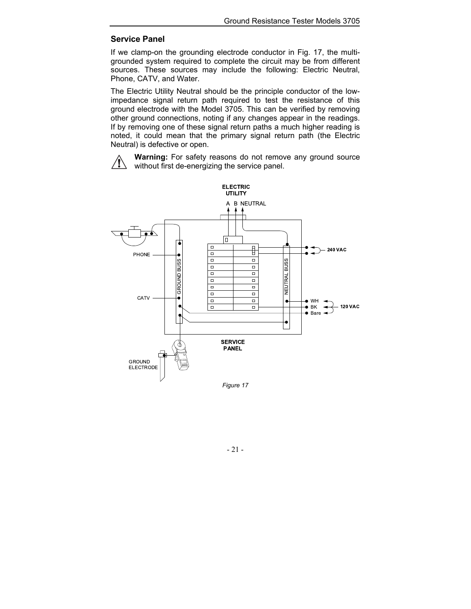### <span id="page-21-0"></span>**Service Panel**

If we clamp-on the grounding electrode conductor in Fig. 17, the multigrounded system required to complete the circuit may be from different sources. These sources may include the following: Electric Neutral, Phone, CATV, and Water.

The Electric Utility Neutral should be the principle conductor of the lowimpedance signal return path required to test the resistance of this ground electrode with the Model 3705. This can be verified by removing other ground connections, noting if any changes appear in the readings. If by removing one of these signal return paths a much higher reading is noted, it could mean that the primary signal return path (the Electric Neutral) is defective or open.



**Warning:** For safety reasons do not remove any ground source without first de-energizing the service panel.

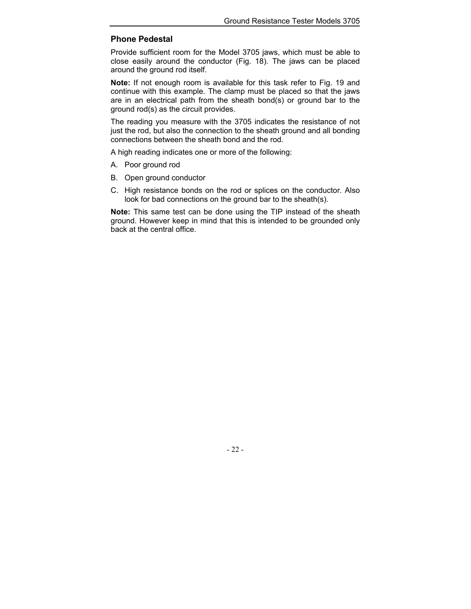### <span id="page-22-0"></span>**Phone Pedestal**

Provide sufficient room for the Model 3705 jaws, which must be able to close easily around the conductor (Fig. 18). The jaws can be placed around the ground rod itself.

**Note:** If not enough room is available for this task refer to Fig. 19 and continue with this example. The clamp must be placed so that the jaws are in an electrical path from the sheath bond(s) or ground bar to the ground rod(s) as the circuit provides.

The reading you measure with the 3705 indicates the resistance of not just the rod, but also the connection to the sheath ground and all bonding connections between the sheath bond and the rod.

A high reading indicates one or more of the following:

- A. Poor ground rod
- B. Open ground conductor
- C. High resistance bonds on the rod or splices on the conductor. Also look for bad connections on the ground bar to the sheath(s).

**Note:** This same test can be done using the TIP instead of the sheath ground. However keep in mind that this is intended to be grounded only back at the central office.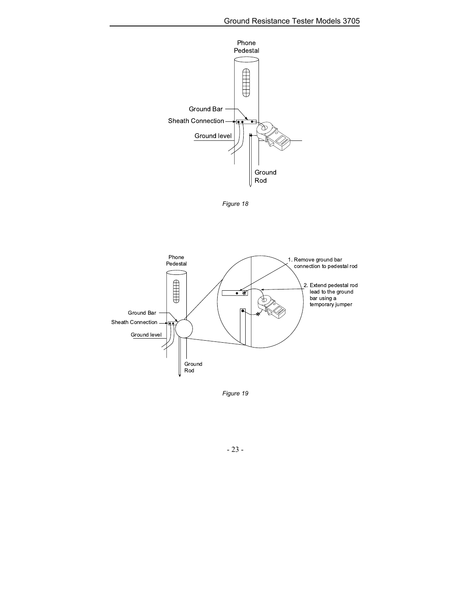

*Figure 18* 



*Figure 19*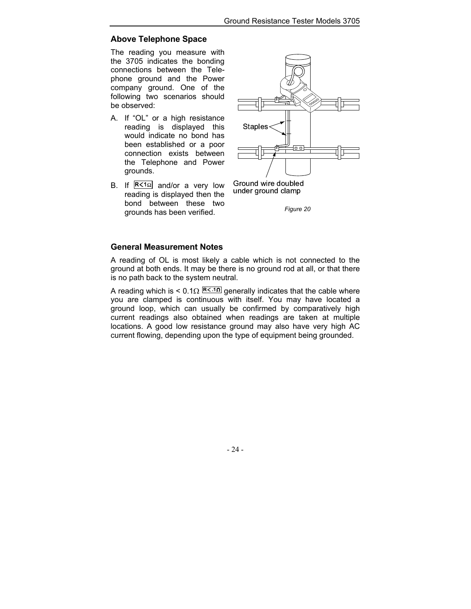### <span id="page-24-0"></span>**Above Telephone Space**

The reading you measure with the 3705 indicates the bonding connections between the Telephone ground and the Power company ground. One of the following two scenarios should be observed:

- A. If "OL" or a high resistance reading is displayed this would indicate no bond has been established or a poor connection exists between the Telephone and Power grounds.
- B. If  $R \leq 10$  and/or a very low reading is displayed then the bond between these two grounds has been verified.



*Figure 20* 

### **General Measurement Notes**

A reading of OL is most likely a cable which is not connected to the ground at both ends. It may be there is no ground rod at all, or that there is no path back to the system neutral.

A reading which is < 0.1 $\Omega$  R. in generally indicates that the cable where you are clamped is continuous with itself. You may have located a ground loop, which can usually be confirmed by comparatively high current readings also obtained when readings are taken at multiple locations. A good low resistance ground may also have very high AC current flowing, depending upon the type of equipment being grounded.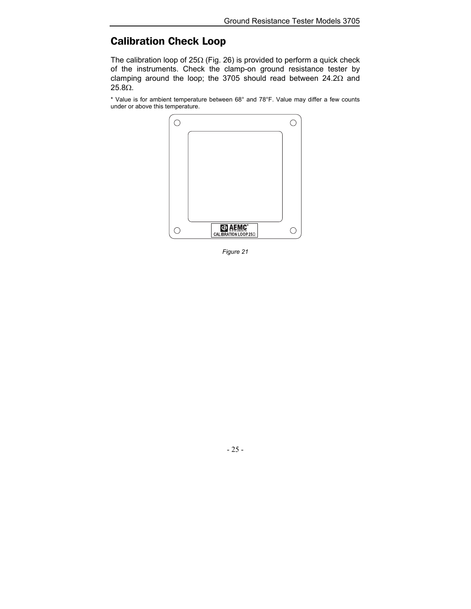### <span id="page-25-0"></span>Calibration Check Loop

The calibration loop of 25Ω (Fig. 26) is provided to perform a quick check of the instruments. Check the clamp-on ground resistance tester by clamping around the loop; the 3705 should read between 24.2Ω and 25.8Ω.

\* Value is for ambient temperature between 68° and 78°F. Value may differ a few counts under or above this temperature.



*Figure 21*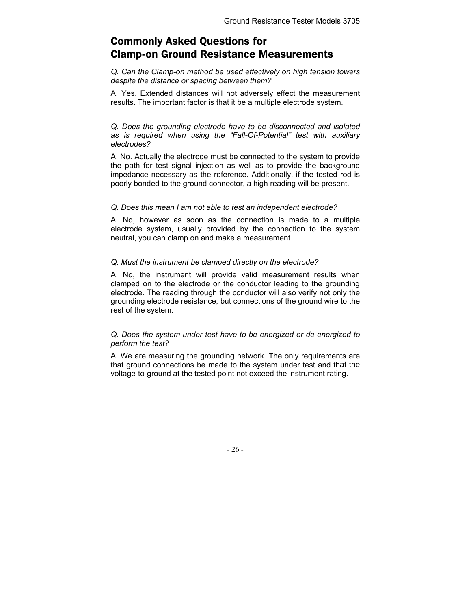### <span id="page-26-0"></span>Commonly Asked Questions for Clamp-on Ground Resistance Measurements

*Q. Can the Clamp-on method be used effectively on high tension towers despite the distance or spacing between them?*

A. Yes. Extended distances will not adversely effect the measurement results. The important factor is that it be a multiple electrode system.

*Q. Does the grounding electrode have to be disconnected and isolated as is required when using the "Fall-Of-Potential" test with auxiliary electrodes?*

A. No. Actually the electrode must be connected to the system to provide the path for test signal injection as well as to provide the background impedance necessary as the reference. Additionally, if the tested rod is poorly bonded to the ground connector, a high reading will be present.

#### *Q. Does this mean I am not able to test an independent electrode?*

A. No, however as soon as the connection is made to a multiple electrode system, usually provided by the connection to the system neutral, you can clamp on and make a measurement.

#### *Q. Must the instrument be clamped directly on the electrode?*

A. No, the instrument will provide valid measurement results when clamped on to the electrode or the conductor leading to the grounding electrode. The reading through the conductor will also verify not only the grounding electrode resistance, but connections of the ground wire to the rest of the system.

#### *Q. Does the system under test have to be energized or de-energized to perform the test?*

A. We are measuring the grounding network. The only requirements are that ground connections be made to the system under test and that the voltage-to-ground at the tested point not exceed the instrument rating.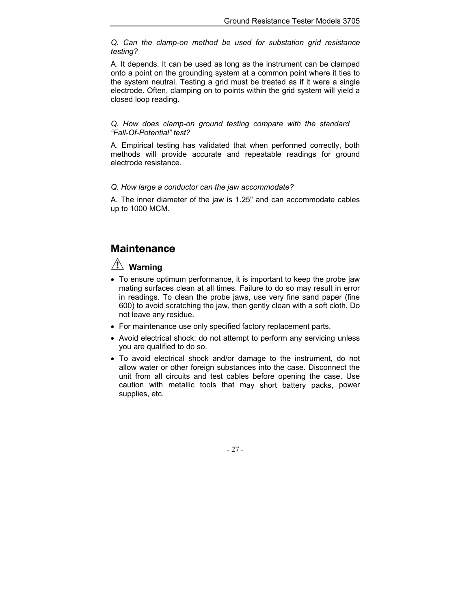<span id="page-27-0"></span>*Q. Can the clamp-on method be used for substation grid resistance testing?*

A. It depends. It can be used as long as the instrument can be clamped onto a point on the grounding system at a common point where it ties to the system neutral. Testing a grid must be treated as if it were a single electrode. Often, clamping on to points within the grid system will yield a closed loop reading.

*Q. How does clamp-on ground testing compare with the standard "Fall-Of-Potential" test?*

A. Empirical testing has validated that when performed correctly, both methods will provide accurate and repeatable readings for ground electrode resistance.

*Q. How large a conductor can the jaw accommodate?*

A. The inner diameter of the jaw is 1.25" and can accommodate cables up to 1000 MCM.

### Maintenance

### **Warning**

- To ensure optimum performance, it is important to keep the probe jaw mating surfaces clean at all times. Failure to do so may result in error in readings. To clean the probe jaws, use very fine sand paper (fine 600) to avoid scratching the jaw, then gently clean with a soft cloth. Do not leave any residue.
- For maintenance use only specified factory replacement parts.
- Avoid electrical shock: do not attempt to perform any servicing unless you are qualified to do so.
- To avoid electrical shock and/or damage to the instrument, do not allow water or other foreign substances into the case. Disconnect the unit from all circuits and test cables before opening the case. Use caution with metallic tools that may short battery packs, power supplies, etc.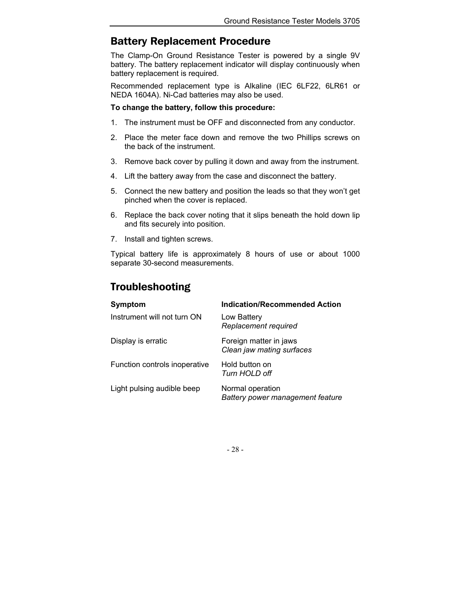### <span id="page-28-0"></span>Battery Replacement Procedure

The Clamp-On Ground Resistance Tester is powered by a single 9V battery. The battery replacement indicator will display continuously when battery replacement is required.

Recommended replacement type is Alkaline (IEC 6LF22, 6LR61 or NEDA 1604A). Ni-Cad batteries may also be used.

#### **To change the battery, follow this procedure:**

- 1. The instrument must be OFF and disconnected from any conductor.
- 2. Place the meter face down and remove the two Phillips screws on the back of the instrument.
- 3. Remove back cover by pulling it down and away from the instrument.
- 4. Lift the battery away from the case and disconnect the battery.
- 5. Connect the new battery and position the leads so that they won't get pinched when the cover is replaced.
- 6. Replace the back cover noting that it slips beneath the hold down lip and fits securely into position.
- 7. Install and tighten screws.

Typical battery life is approximately 8 hours of use or about 1000 separate 30-second measurements.

### Troubleshooting

| <b>Symptom</b>                | <b>Indication/Recommended Action</b>                 |
|-------------------------------|------------------------------------------------------|
| Instrument will not turn ON   | Low Battery<br>Replacement required                  |
| Display is erratic            | Foreign matter in jaws<br>Clean jaw mating surfaces  |
| Function controls inoperative | Hold button on<br>Turn HOLD off                      |
| Light pulsing audible beep    | Normal operation<br>Battery power management feature |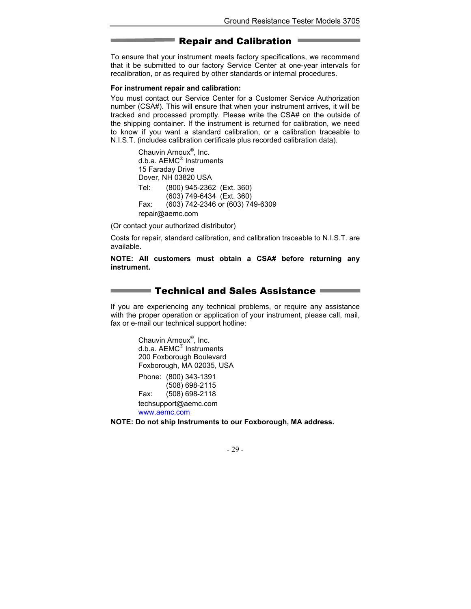### Repair and Calibration

<span id="page-29-0"></span>To ensure that your instrument meets factory specifications, we recommend that it be submitted to our factory Service Center at one-year intervals for recalibration, or as required by other standards or internal procedures.

#### **For instrument repair and calibration:**

You must contact our Service Center for a Customer Service Authorization number (CSA#). This will ensure that when your instrument arrives, it will be tracked and processed promptly. Please write the CSA# on the outside of the shipping container. If the instrument is returned for calibration, we need to know if you want a standard calibration, or a calibration traceable to N.I.S.T. (includes calibration certificate plus recorded calibration data).

> Chauvin Arnoux<sup>®</sup>, Inc. d.b.a. AEMC® Instruments 15 Faraday Drive Dover, NH 03820 USA Tel: (800) 945-2362 (Ext. 360) (603) 749-6434 (Ext. 360) Fax: (603) 742-2346 or (603) 749-6309 repair@aemc.com

(Or contact your authorized distributor)

Costs for repair, standard calibration, and calibration traceable to N.I.S.T. are available.

#### **NOTE: All customers must obtain a CSA# before returning any instrument.**

### Technical and Sales Assistance

If you are experiencing any technical problems, or require any assistance with the proper operation or application of your instrument, please call, mail, fax or e-mail our technical support hotline:

> Chauvin Arnoux<sup>®</sup>, Inc. d.b.a. AEMC® Instruments 200 Foxborough Boulevard Foxborough, MA 02035, USA Phone: (800) 343-1391 (508) 698-2115 Fax: (508) 698-2118 techsupport@aemc.com [www.aemc.com](http://www.aemc.com)

**NOTE: Do not ship Instruments to our Foxborough, MA address.**